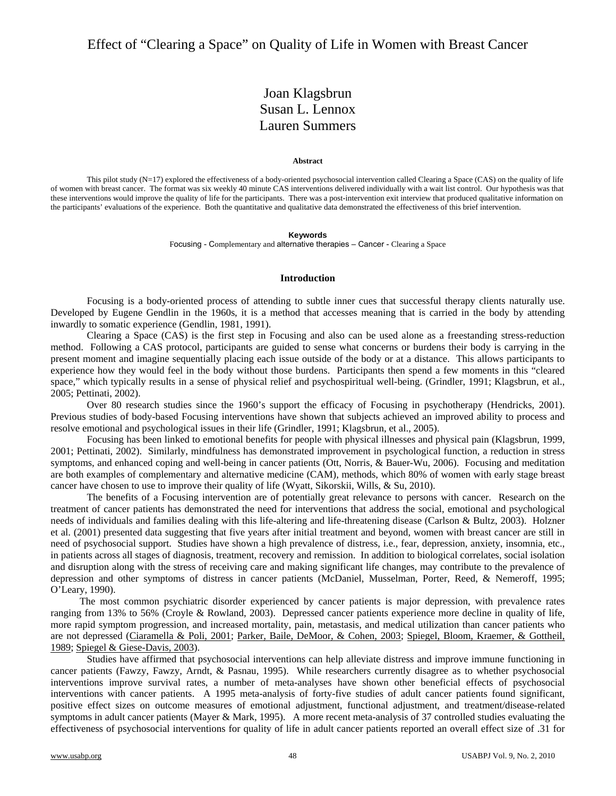# Joan Klagsbrun Susan L. Lennox Lauren Summers

#### **Abstract**

This pilot study (N=17) explored the effectiveness of a body-oriented psychosocial intervention called Clearing a Space (CAS) on the quality of life of women with breast cancer. The format was six weekly 40 minute CAS interventions delivered individually with a wait list control. Our hypothesis was that these interventions would improve the quality of life for the participants. There was a post-intervention exit interview that produced qualitative information on the participants' evaluations of the experience. Both the quantitative and qualitative data demonstrated the effectiveness of this brief intervention.

#### **Keywords**

Focusing - Complementary and alternative therapies – Cancer - Clearing a Space

### **Introduction**

Focusing is a body-oriented process of attending to subtle inner cues that successful therapy clients naturally use. Developed by Eugene Gendlin in the 1960s, it is a method that accesses meaning that is carried in the body by attending inwardly to somatic experience (Gendlin, 1981, 1991).

Clearing a Space (CAS) is the first step in Focusing and also can be used alone as a freestanding stress-reduction method. Following a CAS protocol, participants are guided to sense what concerns or burdens their body is carrying in the present moment and imagine sequentially placing each issue outside of the body or at a distance. This allows participants to experience how they would feel in the body without those burdens. Participants then spend a few moments in this "cleared space," which typically results in a sense of physical relief and psychospiritual well-being. (Grindler, 1991; Klagsbrun, et al., 2005; Pettinati, 2002).

Over 80 research studies since the 1960's support the efficacy of Focusing in psychotherapy (Hendricks, 2001). Previous studies of body-based Focusing interventions have shown that subjects achieved an improved ability to process and resolve emotional and psychological issues in their life (Grindler, 1991; Klagsbrun, et al., 2005).

Focusing has been linked to emotional benefits for people with physical illnesses and physical pain (Klagsbrun, 1999, 2001; Pettinati, 2002). Similarly, mindfulness has demonstrated improvement in psychological function, a reduction in stress symptoms, and enhanced coping and well-being in cancer patients (Ott, Norris, & Bauer-Wu, 2006). Focusing and meditation are both examples of complementary and alternative medicine (CAM), methods, which 80% of women with early stage breast cancer have chosen to use to improve their quality of life (Wyatt, Sikorskii, Wills, & Su, 2010).

The benefits of a Focusing intervention are of potentially great relevance to persons with cancer. Research on the treatment of cancer patients has demonstrated the need for interventions that address the social, emotional and psychological needs of individuals and families dealing with this life-altering and life-threatening disease (Carlson & Bultz, 2003). Holzner et al. (2001) presented data suggesting that five years after initial treatment and beyond, women with breast cancer are still in need of psychosocial support. Studies have shown a high prevalence of distress, i.e., fear, depression, anxiety, insomnia, etc., in patients across all stages of diagnosis, treatment, recovery and remission. In addition to biological correlates, social isolation and disruption along with the stress of receiving care and making significant life changes, may contribute to the prevalence of depression and other symptoms of distress in cancer patients (McDaniel, Musselman, Porter, Reed, & Nemeroff, 1995; O'Leary, 1990).

 The most common psychiatric disorder experienced by cancer patients is major depression, with prevalence rates ranging from 13% to 56% (Croyle & Rowland, 2003). Depressed cancer patients experience more decline in quality of life, more rapid symptom progression, and increased mortality, pain, metastasis, and medical utilization than cancer patients who are not depressed (Ciaramella & Poli, 2001; Parker, Baile, DeMoor, & Cohen, 2003; Spiegel, Bloom, Kraemer, & Gottheil, 1989; Spiegel & Giese-Davis, 2003).

Studies have affirmed that psychosocial interventions can help alleviate distress and improve immune functioning in cancer patients (Fawzy, Fawzy, Arndt, & Pasnau, 1995). While researchers currently disagree as to whether psychosocial interventions improve survival rates, a number of meta-analyses have shown other beneficial effects of psychosocial interventions with cancer patients. A 1995 meta-analysis of forty-five studies of adult cancer patients found significant, positive effect sizes on outcome measures of emotional adjustment, functional adjustment, and treatment/disease-related symptoms in adult cancer patients (Mayer & Mark, 1995). A more recent meta-analysis of 37 controlled studies evaluating the effectiveness of psychosocial interventions for quality of life in adult cancer patients reported an overall effect size of .31 for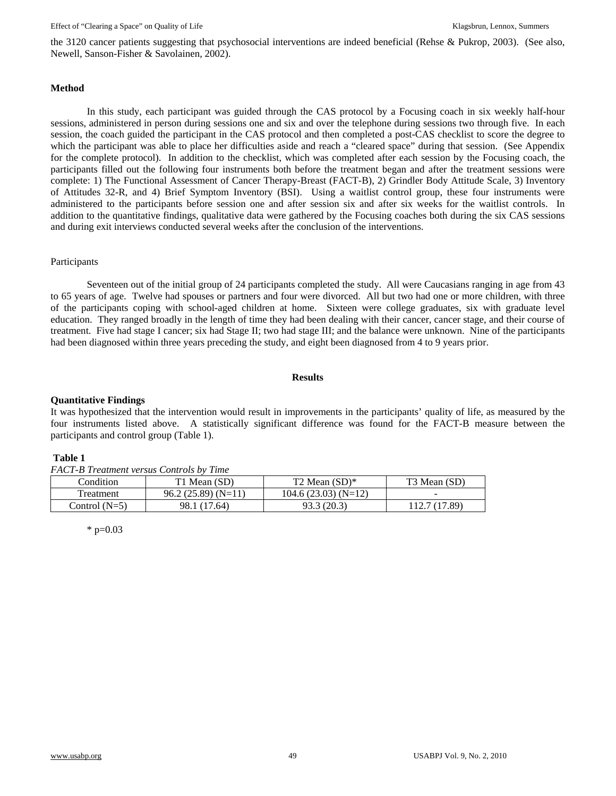the 3120 cancer patients suggesting that psychosocial interventions are indeed beneficial (Rehse & Pukrop, 2003). (See also, Newell, Sanson-Fisher & Savolainen, 2002).

## **Method**

In this study, each participant was guided through the CAS protocol by a Focusing coach in six weekly half-hour sessions, administered in person during sessions one and six and over the telephone during sessions two through five. In each session, the coach guided the participant in the CAS protocol and then completed a post-CAS checklist to score the degree to which the participant was able to place her difficulties aside and reach a "cleared space" during that session. (See Appendix for the complete protocol). In addition to the checklist, which was completed after each session by the Focusing coach, the participants filled out the following four instruments both before the treatment began and after the treatment sessions were complete: 1) The Functional Assessment of Cancer Therapy-Breast (FACT-B), 2) Grindler Body Attitude Scale, 3) Inventory of Attitudes 32-R, and 4) Brief Symptom Inventory (BSI). Using a waitlist control group, these four instruments were administered to the participants before session one and after session six and after six weeks for the waitlist controls. In addition to the quantitative findings, qualitative data were gathered by the Focusing coaches both during the six CAS sessions and during exit interviews conducted several weeks after the conclusion of the interventions.

## Participants

Seventeen out of the initial group of 24 participants completed the study. All were Caucasians ranging in age from 43 to 65 years of age. Twelve had spouses or partners and four were divorced. All but two had one or more children, with three of the participants coping with school-aged children at home. Sixteen were college graduates, six with graduate level education. They ranged broadly in the length of time they had been dealing with their cancer, cancer stage, and their course of treatment. Five had stage I cancer; six had Stage II; two had stage III; and the balance were unknown. Nine of the participants had been diagnosed within three years preceding the study, and eight been diagnosed from 4 to 9 years prior.

## **Results**

## **Quantitative Findings**

It was hypothesized that the intervention would result in improvements in the participants' quality of life, as measured by the four instruments listed above. A statistically significant difference was found for the FACT-B measure between the participants and control group (Table 1).

## **Table 1**

*FACT-B Treatment versus Controls by Time* 

| Condition       | T1 Mean (SD)        | $T2$ Mean $(SD)^*$   | T3 Mean (SD)             |
|-----------------|---------------------|----------------------|--------------------------|
| Treatment       | $96.2(25.89)(N=11)$ | $104.6(23.03)(N=12)$ | $\overline{\phantom{a}}$ |
| Control $(N=5)$ | 98.1 (17.64)        | 93.3 (20.3)          | .89)                     |

 $*$  p=0.03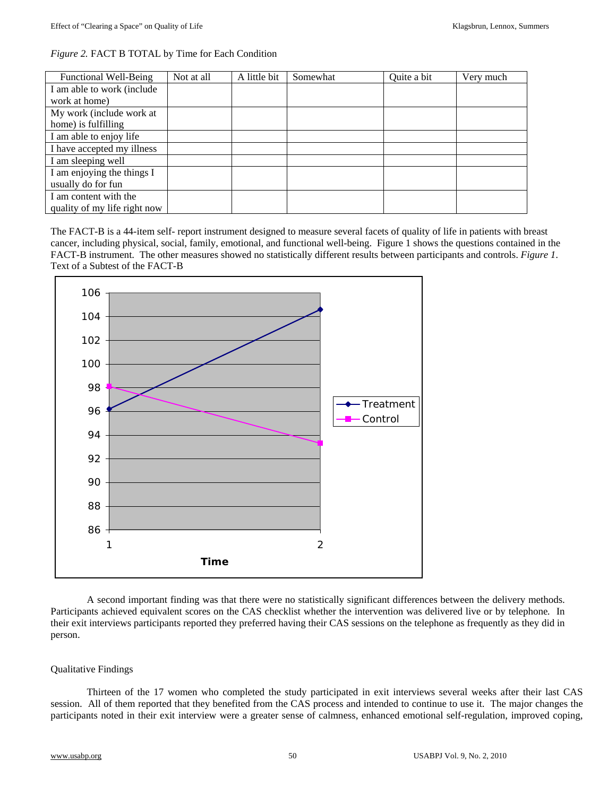|  |  | <i>Figure 2.</i> FACT B TOTAL by Time for Each Condition |  |  |  |
|--|--|----------------------------------------------------------|--|--|--|
|--|--|----------------------------------------------------------|--|--|--|

| <b>Functional Well-Being</b> | Not at all | A little bit | Somewhat | Quite a bit | Very much |
|------------------------------|------------|--------------|----------|-------------|-----------|
| I am able to work (include   |            |              |          |             |           |
| work at home)                |            |              |          |             |           |
| My work (include work at     |            |              |          |             |           |
| home) is fulfilling          |            |              |          |             |           |
| I am able to enjoy life      |            |              |          |             |           |
| I have accepted my illness   |            |              |          |             |           |
| I am sleeping well           |            |              |          |             |           |
| I am enjoying the things I   |            |              |          |             |           |
| usually do for fun           |            |              |          |             |           |
| I am content with the        |            |              |          |             |           |
| quality of my life right now |            |              |          |             |           |

The FACT-B is a 44-item self- report instrument designed to measure several facets of quality of life in patients with breast cancer, including physical, social, family, emotional, and functional well-being. Figure 1 shows the questions contained in the FACT-B instrument. The other measures showed no statistically different results between participants and controls. *Figure 1*. Text of a Subtest of the FACT-B



A second important finding was that there were no statistically significant differences between the delivery methods. Participants achieved equivalent scores on the CAS checklist whether the intervention was delivered live or by telephone*.* In their exit interviews participants reported they preferred having their CAS sessions on the telephone as frequently as they did in person.

## Qualitative Findings

Thirteen of the 17 women who completed the study participated in exit interviews several weeks after their last CAS session. All of them reported that they benefited from the CAS process and intended to continue to use it. The major changes the participants noted in their exit interview were a greater sense of calmness, enhanced emotional self-regulation, improved coping,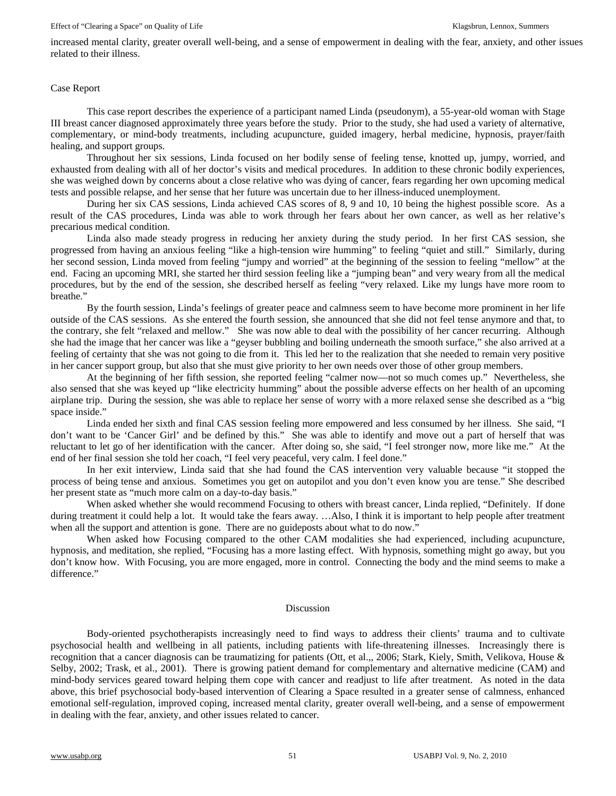#### Effect of "Clearing a Space" on Quality of Life Klagsbrun, Lennox, Summers Klagsbrun, Lennox, Summers

increased mental clarity, greater overall well-being, and a sense of empowerment in dealing with the fear, anxiety, and other issues related to their illness.

## Case Report

This case report describes the experience of a participant named Linda (pseudonym), a 55-year-old woman with Stage III breast cancer diagnosed approximately three years before the study. Prior to the study, she had used a variety of alternative, complementary, or mind-body treatments, including acupuncture, guided imagery, herbal medicine, hypnosis, prayer/faith healing, and support groups.

Throughout her six sessions, Linda focused on her bodily sense of feeling tense, knotted up, jumpy, worried, and exhausted from dealing with all of her doctor's visits and medical procedures. In addition to these chronic bodily experiences, she was weighed down by concerns about a close relative who was dying of cancer, fears regarding her own upcoming medical tests and possible relapse, and her sense that her future was uncertain due to her illness-induced unemployment.

During her six CAS sessions, Linda achieved CAS scores of 8, 9 and 10, 10 being the highest possible score. As a result of the CAS procedures, Linda was able to work through her fears about her own cancer, as well as her relative's precarious medical condition.

Linda also made steady progress in reducing her anxiety during the study period. In her first CAS session, she progressed from having an anxious feeling "like a high-tension wire humming" to feeling "quiet and still." Similarly, during her second session, Linda moved from feeling "jumpy and worried" at the beginning of the session to feeling "mellow" at the end. Facing an upcoming MRI, she started her third session feeling like a "jumping bean" and very weary from all the medical procedures, but by the end of the session, she described herself as feeling "very relaxed. Like my lungs have more room to breathe."

By the fourth session, Linda's feelings of greater peace and calmness seem to have become more prominent in her life outside of the CAS sessions. As she entered the fourth session, she announced that she did not feel tense anymore and that, to the contrary, she felt "relaxed and mellow." She was now able to deal with the possibility of her cancer recurring. Although she had the image that her cancer was like a "geyser bubbling and boiling underneath the smooth surface," she also arrived at a feeling of certainty that she was not going to die from it. This led her to the realization that she needed to remain very positive in her cancer support group, but also that she must give priority to her own needs over those of other group members.

At the beginning of her fifth session, she reported feeling "calmer now—not so much comes up." Nevertheless, she also sensed that she was keyed up "like electricity humming" about the possible adverse effects on her health of an upcoming airplane trip. During the session, she was able to replace her sense of worry with a more relaxed sense she described as a "big space inside."

Linda ended her sixth and final CAS session feeling more empowered and less consumed by her illness. She said, "I don't want to be 'Cancer Girl' and be defined by this." She was able to identify and move out a part of herself that was reluctant to let go of her identification with the cancer. After doing so, she said, "I feel stronger now, more like me." At the end of her final session she told her coach, "I feel very peaceful, very calm. I feel done."

In her exit interview, Linda said that she had found the CAS intervention very valuable because "it stopped the process of being tense and anxious. Sometimes you get on autopilot and you don't even know you are tense." She described her present state as "much more calm on a day-to-day basis."

When asked whether she would recommend Focusing to others with breast cancer, Linda replied, "Definitely. If done during treatment it could help a lot. It would take the fears away. …Also, I think it is important to help people after treatment when all the support and attention is gone. There are no guideposts about what to do now."

When asked how Focusing compared to the other CAM modalities she had experienced, including acupuncture, hypnosis, and meditation, she replied, "Focusing has a more lasting effect. With hypnosis, something might go away, but you don't know how. With Focusing, you are more engaged, more in control. Connecting the body and the mind seems to make a difference."

## Discussion

Body-oriented psychotherapists increasingly need to find ways to address their clients' trauma and to cultivate psychosocial health and wellbeing in all patients, including patients with life-threatening illnesses. Increasingly there is recognition that a cancer diagnosis can be traumatizing for patients (Ott, et al.,, 2006; Stark, Kiely, Smith, Velikova, House & Selby, 2002; Trask, et al., 2001). There is growing patient demand for complementary and alternative medicine (CAM) and mind-body services geared toward helping them cope with cancer and readjust to life after treatment. As noted in the data above, this brief psychosocial body-based intervention of Clearing a Space resulted in a greater sense of calmness, enhanced emotional self-regulation, improved coping, increased mental clarity, greater overall well-being, and a sense of empowerment in dealing with the fear, anxiety, and other issues related to cancer.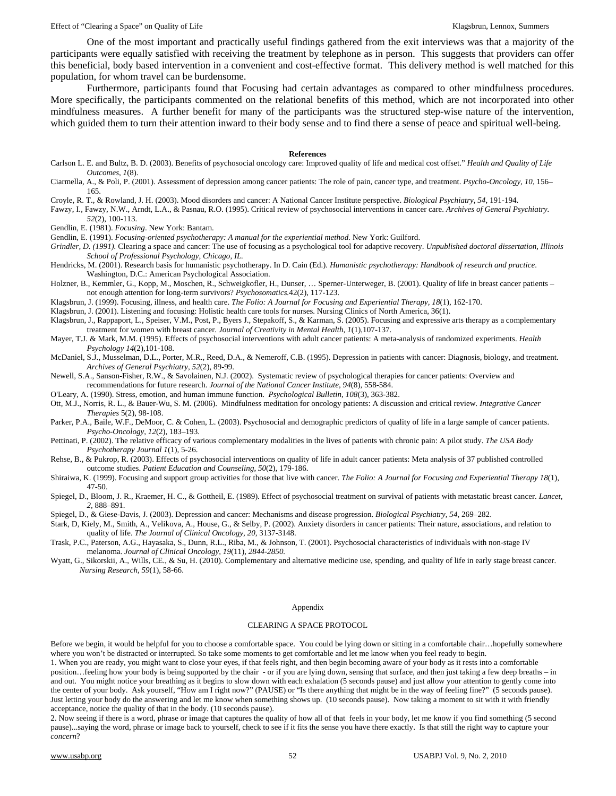#### Effect of "Clearing a Space" on Quality of Life Klagsbrun, Lennox, Summers Klagsbrun, Lennox, Summers

One of the most important and practically useful findings gathered from the exit interviews was that a majority of the participants were equally satisfied with receiving the treatment by telephone as in person. This suggests that providers can offer this beneficial, body based intervention in a convenient and cost-effective format. This delivery method is well matched for this population, for whom travel can be burdensome.

Furthermore, participants found that Focusing had certain advantages as compared to other mindfulness procedures. More specifically, the participants commented on the relational benefits of this method, which are not incorporated into other mindfulness measures. A further benefit for many of the participants was the structured step-wise nature of the intervention, which guided them to turn their attention inward to their body sense and to find there a sense of peace and spiritual well-being.

#### **References**

- Carlson L. E. and Bultz, B. D. (2003). Benefits of psychosocial oncology care: Improved quality of life and medical cost offset." *Health and Quality of Life Outcomes*, *1*(8).
- Ciarmella, A., & Poli, P. (2001). Assessment of depression among cancer patients: The role of pain, cancer type, and treatment. *Psycho-Oncology, 10,* 156– 165.

Croyle, R. T., & Rowland, J. H. (2003). Mood disorders and cancer: A National Cancer Institute perspective. *Biological Psychiatry*, *54*, 191-194.

- Fawzy, I., Fawzy, N.W., Arndt, L.A., & Pasnau, R.O. (1995). Critical review of psychosocial interventions in cancer care. *Archives of General Psychiatry. 52*(2), 100-113.
- Gendlin, E. (1981). *Focusing*. New York: Bantam.

Gendlin, E. (1991). *Focusing-oriented psychotherapy: A manual for the experiential method*. New York: Guilford.

- *Grindler, D. (1991).* Clearing a space and cancer: The use of focusing as a psychological tool for adaptive recovery. *Unpublished doctoral dissertation, Illinois School of Professional Psychology, Chicago, IL.*
- Hendricks, M. (2001). Research basis for humanistic psychotherapy. In D. Cain (Ed.). *Humanistic psychotherapy: Handbook of research and practice*. Washington, D.C.: American Psychological Association.
- Holzner, B., Kemmler, G., Kopp, M., Moschen, R., Schweigkofler, H., Dunser, … Sperner-Unterweger, B. (2001). Quality of life in breast cancer patients not enough attention for long-term survivors? *Psychosomatics.*42(2), 117-123.

Klagsbrun, J. (1999). Focusing, illness, and health care. *The Folio: A Journal for Focusing and Experiential Therapy, 18*(1), 162-170.

- Klagsbrun, J. (2001). Listening and focusing: Holistic health care tools for nurses. Nursing Clinics of North America, 36(1).
- Klagsbrun, J., Rappaport, L., Speiser, V.M., Post, P., Byers J., Stepakoff, S., & Karman, S. (2005). Focusing and expressive arts therapy as a complementary treatment for women with breast cancer. *Journal of Creativity in Mental Health, 1*(1)*,*107-137.
- Mayer, T.J. & Mark, M.M. (1995). Effects of psychosocial interventions with adult cancer patients: A meta-analysis of randomized experiments. *Health Psychology 14*(2)*,*101-108.
- McDaniel, S.J., Musselman, D.L., Porter, M.R., Reed, D.A., & Nemeroff, C.B. (1995). Depression in patients with cancer: Diagnosis, biology, and treatment. *Archives of General Psychiatry, 52*(2), 89-99.
- Newell, S.A., Sanson-Fisher, R.W., & Savolainen, N.J. (2002). Systematic review of psychological therapies for cancer patients: Overview and recommendations for future research. *Journal of the National Cancer Institute, 94*(8)*,* 558-584.

O'Leary, A. (1990). Stress, emotion, and human immune function. *Psychological Bulletin*, *108*(3)*,* 363-382.

Ott, M.J., Norris, R. L., & Bauer-Wu, S. M. (2006). Mindfulness meditation for oncology patients: A discussion and critical review*. Integrative Cancer Therapies* 5(2), 98-108.

- Parker, P.A., Baile, W.F., DeMoor, C. & Cohen, L. (2003). Psychosocial and demographic predictors of quality of life in a large sample of cancer patients. *Psycho-Oncology, 12*(2)*,* 183–193.
- Pettinati, P. (2002). The relative efficacy of various complementary modalities in the lives of patients with chronic pain: A pilot study. *The USA Body Psychotherapy Journal 1*(1)*,* 5-26.
- Rehse, B., & Pukrop, R. (2003). Effects of psychosocial interventions on quality of life in adult cancer patients: Meta analysis of 37 published controlled outcome studies. *Patient Education and Counseling*, *50*(2)*,* 179-186.
- Shiraiwa, K. (1999). Focusing and support group activities for those that live with cancer. *The Folio: A Journal for Focusing and Experiential Therapy 18*(1), 47-50.
- Spiegel, D., Bloom, J. R., Kraemer, H. C., & Gottheil, E. (1989). Effect of psychosocial treatment on survival of patients with metastatic breast cancer. *Lancet, 2,* 888–891.
- Spiegel, D., & Giese-Davis, J. (2003). Depression and cancer: Mechanisms and disease progression. *Biological Psychiatry, 54,* 269–282.
- Stark, D, Kiely, M., Smith, A., Velikova, A., House, G., & Selby, P. (2002). Anxiety disorders in cancer patients: Their nature, associations, and relation to quality of life. *The Journal of Clinical Oncology, 20,* 3137-3148.
- Trask, P.C., Paterson, A.G., Hayasaka, S., Dunn, R.L., Riba, M., & Johnson, T. (2001). Psychosocial characteristics of individuals with non-stage IV melanoma. *Journal of Clinical Oncology, 19*(11)*, 2844-2850.*
- Wyatt, G., Sikorskii, A., Wills, CE., & Su, H. (2010). Complementary and alternative medicine use, spending, and quality of life in early stage breast cancer. *Nursing Research, 59*(1)*,* 58-66.

#### Appendix

#### CLEARING A SPACE PROTOCOL

Before we begin, it would be helpful for you to choose a comfortable space. You could be lying down or sitting in a comfortable chair…hopefully somewhere where you won't be distracted or interrupted. So take some moments to get comfortable and let me know when you feel ready to begin.

1. When you are ready, you might want to close your eyes, if that feels right, and then begin becoming aware of your body as it rests into a comfortable position…feeling how your body is being supported by the chair - or if you are lying down, sensing that surface, and then just taking a few deep breaths – in and out. You might notice your breathing as it begins to slow down with each exhalation (5 seconds pause) and just allow your attention to gently come into the center of your body. Ask yourself, "How am I right now?" (PAUSE) or "Is there anything that might be in the way of feeling fine?" (5 seconds pause). Just letting your body do the answering and let me know when something shows up. (10 seconds pause). Now taking a moment to sit with it with friendly acceptance, notice the quality of that in the body. (10 seconds pause).

2. Now seeing if there is a word, phrase or image that captures the quality of how all of that feels in your body, let me know if you find something (5 second pause)...saying the word, phrase or image back to yourself, check to see if it fits the sense you have there exactly. Is that still the right way to capture your *concern*?